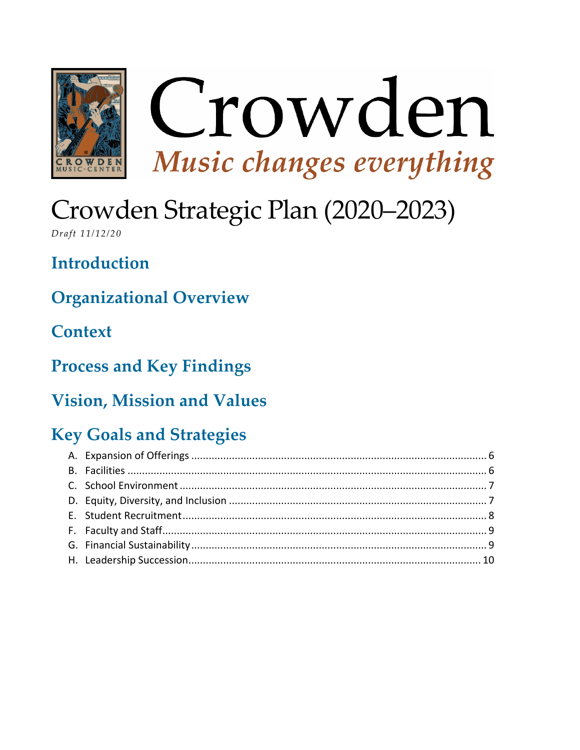

# Crowden Strategic Plan (2020–2023)

Draft 11/12/20

**Introduction** 

**Organizational Overview** 

**Context** 

**Process and Key Findings** 

### **Vision, Mission and Values**

### **Key Goals and Strategies**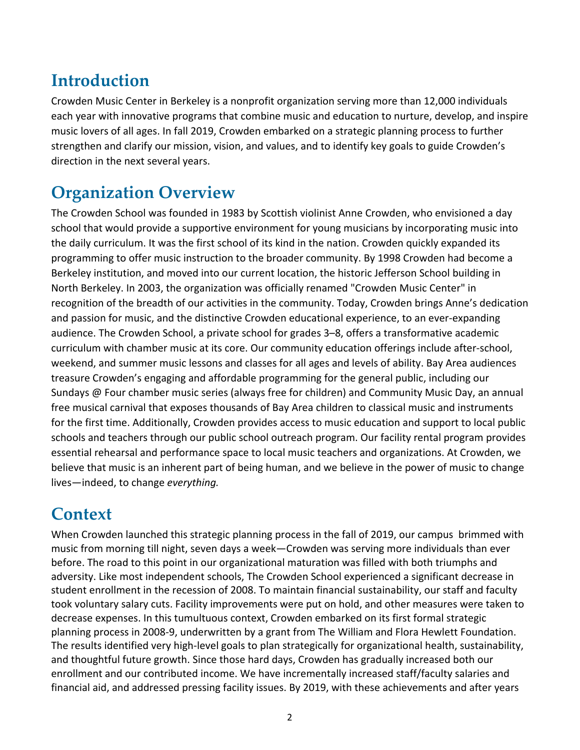### **Introduction**

Crowden Music Center in Berkeley is a nonprofit organization serving more than 12,000 individuals each year with innovative programs that combine music and education to nurture, develop, and inspire music lovers of all ages. In fall 2019, Crowden embarked on a strategic planning process to further strengthen and clarify our mission, vision, and values, and to identify key goals to guide Crowden's direction in the next several years.

### **Organization Overview**

The Crowden School was founded in 1983 by Scottish violinist Anne Crowden, who envisioned a day school that would provide a supportive environment for young musicians by incorporating music into the daily curriculum. It was the first school of its kind in the nation. Crowden quickly expanded its programming to offer music instruction to the broader community. By 1998 Crowden had become a Berkeley institution, and moved into our current location, the historic Jefferson School building in North Berkeley. In 2003, the organization was officially renamed "Crowden Music Center" in recognition of the breadth of our activities in the community. Today, Crowden brings Anne's dedication and passion for music, and the distinctive Crowden educational experience, to an ever-expanding audience. The Crowden School, a private school for grades 3–8, offers a transformative academic curriculum with chamber music at its core. Our community education offerings include after-school, weekend, and summer music lessons and classes for all ages and levels of ability. Bay Area audiences treasure Crowden's engaging and affordable programming for the general public, including our Sundays @ Four chamber music series (always free for children) and Community Music Day, an annual free musical carnival that exposes thousands of Bay Area children to classical music and instruments for the first time. Additionally, Crowden provides access to music education and support to local public schools and teachers through our public school outreach program. Our facility rental program provides essential rehearsal and performance space to local music teachers and organizations. At Crowden, we believe that music is an inherent part of being human, and we believe in the power of music to change lives—indeed, to change *everything.*

### **Context**

When Crowden launched this strategic planning process in the fall of 2019, our campus brimmed with music from morning till night, seven days a week—Crowden was serving more individuals than ever before. The road to this point in our organizational maturation was filled with both triumphs and adversity. Like most independent schools, The Crowden School experienced a significant decrease in student enrollment in the recession of 2008. To maintain financial sustainability, our staff and faculty took voluntary salary cuts. Facility improvements were put on hold, and other measures were taken to decrease expenses. In this tumultuous context, Crowden embarked on its first formal strategic planning process in 2008-9, underwritten by a grant from The William and Flora Hewlett Foundation. The results identified very high-level goals to plan strategically for organizational health, sustainability, and thoughtful future growth. Since those hard days, Crowden has gradually increased both our enrollment and our contributed income. We have incrementally increased staff/faculty salaries and financial aid, and addressed pressing facility issues. By 2019, with these achievements and after years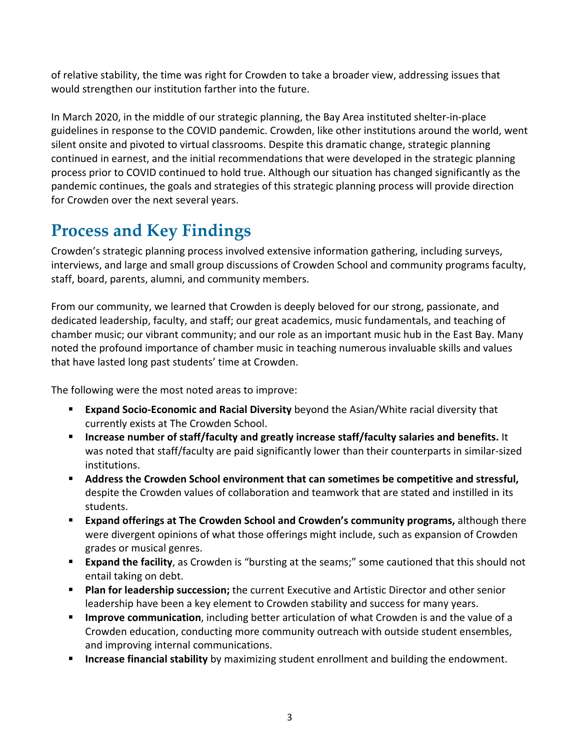of relative stability, the time was right for Crowden to take a broader view, addressing issues that would strengthen our institution farther into the future.

In March 2020, in the middle of our strategic planning, the Bay Area instituted shelter-in-place guidelines in response to the COVID pandemic. Crowden, like other institutions around the world, went silent onsite and pivoted to virtual classrooms. Despite this dramatic change, strategic planning continued in earnest, and the initial recommendations that were developed in the strategic planning process prior to COVID continued to hold true. Although our situation has changed significantly as the pandemic continues, the goals and strategies of this strategic planning process will provide direction for Crowden over the next several years.

### **Process and Key Findings**

Crowden's strategic planning process involved extensive information gathering, including surveys, interviews, and large and small group discussions of Crowden School and community programs faculty, staff, board, parents, alumni, and community members.

From our community, we learned that Crowden is deeply beloved for our strong, passionate, and dedicated leadership, faculty, and staff; our great academics, music fundamentals, and teaching of chamber music; our vibrant community; and our role as an important music hub in the East Bay. Many noted the profound importance of chamber music in teaching numerous invaluable skills and values that have lasted long past students' time at Crowden.

The following were the most noted areas to improve:

- **Expand Socio-Economic and Racial Diversity** beyond the Asian/White racial diversity that currently exists at The Crowden School.
- **Increase number of staff/faculty and greatly increase staff/faculty salaries and benefits.** It was noted that staff/faculty are paid significantly lower than their counterparts in similar-sized institutions.
- **Address the Crowden School environment that can sometimes be competitive and stressful,**  despite the Crowden values of collaboration and teamwork that are stated and instilled in its students.
- **Expand offerings at The Crowden School and Crowden's community programs,** although there were divergent opinions of what those offerings might include, such as expansion of Crowden grades or musical genres.
- **Expand the facility**, as Crowden is "bursting at the seams;" some cautioned that this should not entail taking on debt.
- **Plan for leadership succession;** the current Executive and Artistic Director and other senior leadership have been a key element to Crowden stability and success for many years.
- **Improve communication**, including better articulation of what Crowden is and the value of a Crowden education, conducting more community outreach with outside student ensembles, and improving internal communications.
- **Increase financial stability** by maximizing student enrollment and building the endowment.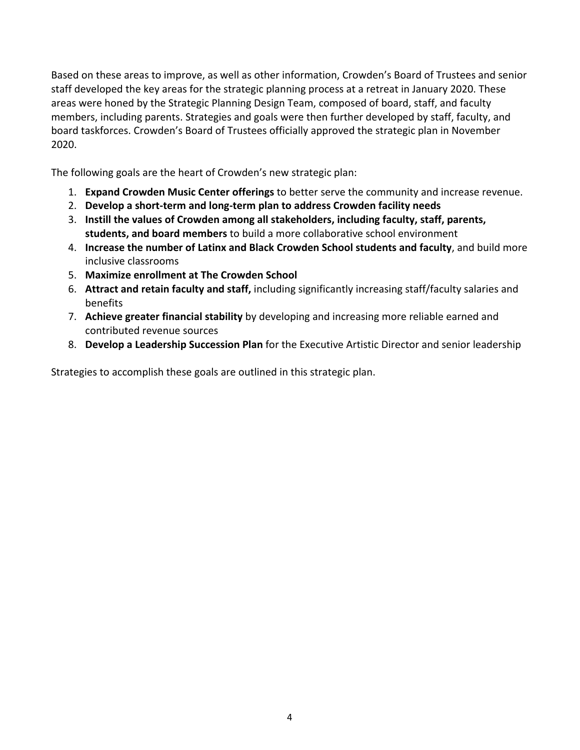Based on these areas to improve, as well as other information, Crowden's Board of Trustees and senior staff developed the key areas for the strategic planning process at a retreat in January 2020. These areas were honed by the Strategic Planning Design Team, composed of board, staff, and faculty members, including parents. Strategies and goals were then further developed by staff, faculty, and board taskforces. Crowden's Board of Trustees officially approved the strategic plan in November 2020.

The following goals are the heart of Crowden's new strategic plan:

- 1. **Expand Crowden Music Center offerings** to better serve the community and increase revenue.
- 2. **Develop a short-term and long-term plan to address Crowden facility needs**
- 3. **Instill the values of Crowden among all stakeholders, including faculty, staff, parents, students, and board members** to build a more collaborative school environment
- 4. **Increase the number of Latinx and Black Crowden School students and faculty**, and build more inclusive classrooms
- 5. **Maximize enrollment at The Crowden School**
- 6. **Attract and retain faculty and staff,** including significantly increasing staff/faculty salaries and benefits
- 7. **Achieve greater financial stability** by developing and increasing more reliable earned and contributed revenue sources
- 8. **Develop a Leadership Succession Plan** for the Executive Artistic Director and senior leadership

Strategies to accomplish these goals are outlined in this strategic plan.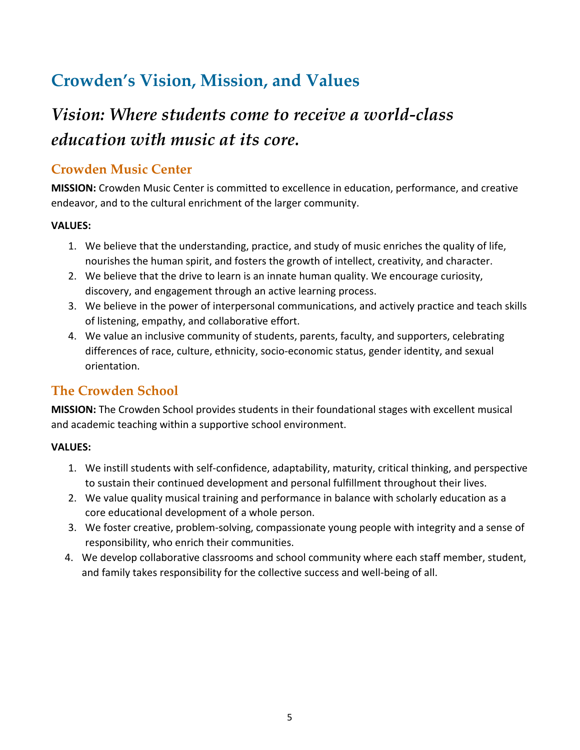### **Crowden's Vision, Mission, and Values**

## *Vision: Where students come to receive a world-class education with music at its core.*

### **Crowden Music Center**

**MISSION:** Crowden Music Center is committed to excellence in education, performance, and creative endeavor, and to the cultural enrichment of the larger community.

#### **VALUES:**

- 1. We believe that the understanding, practice, and study of music enriches the quality of life, nourishes the human spirit, and fosters the growth of intellect, creativity, and character.
- 2. We believe that the drive to learn is an innate human quality. We encourage curiosity, discovery, and engagement through an active learning process.
- 3. We believe in the power of interpersonal communications, and actively practice and teach skills of listening, empathy, and collaborative effort.
- 4. We value an inclusive community of students, parents, faculty, and supporters, celebrating differences of race, culture, ethnicity, socio-economic status, gender identity, and sexual orientation.

### **The Crowden School**

**MISSION:** The Crowden School provides students in their foundational stages with excellent musical and academic teaching within a supportive school environment.

#### **VALUES:**

- 1. We instill students with self-confidence, adaptability, maturity, critical thinking, and perspective to sustain their continued development and personal fulfillment throughout their lives.
- 2. We value quality musical training and performance in balance with scholarly education as a core educational development of a whole person.
- 3. We foster creative, problem-solving, compassionate young people with integrity and a sense of responsibility, who enrich their communities.
- 4. We develop collaborative classrooms and school community where each staff member, student, and family takes responsibility for the collective success and well-being of all.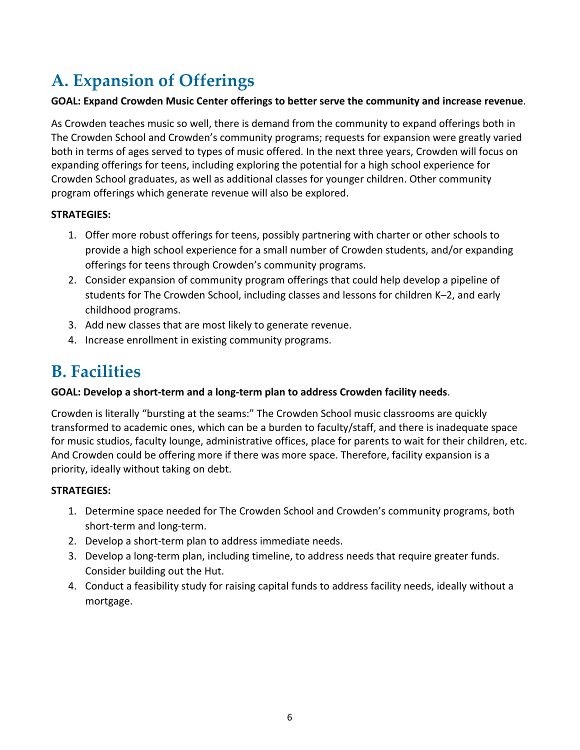## **A. Expansion of Offerings**

#### **GOAL: Expand Crowden Music Center offerings to better serve the community and increase revenue**.

As Crowden teaches music so well, there is demand from the community to expand offerings both in The Crowden School and Crowden's community programs; requests for expansion were greatly varied both in terms of ages served to types of music offered. In the next three years, Crowden will focus on expanding offerings for teens, including exploring the potential for a high school experience for Crowden School graduates, as well as additional classes for younger children. Other community program offerings which generate revenue will also be explored.

#### **STRATEGIES:**

- 1. Offer more robust offerings for teens, possibly partnering with charter or other schools to provide a high school experience for a small number of Crowden students, and/or expanding offerings for teens through Crowden's community programs.
- 2. Consider expansion of community program offerings that could help develop a pipeline of students for The Crowden School, including classes and lessons for children K–2, and early childhood programs.
- 3. Add new classes that are most likely to generate revenue.
- 4. Increase enrollment in existing community programs.

### **B. Facilities**

#### **GOAL: Develop a short-term and a long-term plan to address Crowden facility needs**.

Crowden is literally "bursting at the seams:" The Crowden School music classrooms are quickly transformed to academic ones, which can be a burden to faculty/staff, and there is inadequate space for music studios, faculty lounge, administrative offices, place for parents to wait for their children, etc. And Crowden could be offering more if there was more space. Therefore, facility expansion is a priority, ideally without taking on debt.

- 1. Determine space needed for The Crowden School and Crowden's community programs, both short-term and long-term.
- 2. Develop a short-term plan to address immediate needs.
- 3. Develop a long-term plan, including timeline, to address needs that require greater funds. Consider building out the Hut.
- 4. Conduct a feasibility study for raising capital funds to address facility needs, ideally without a mortgage.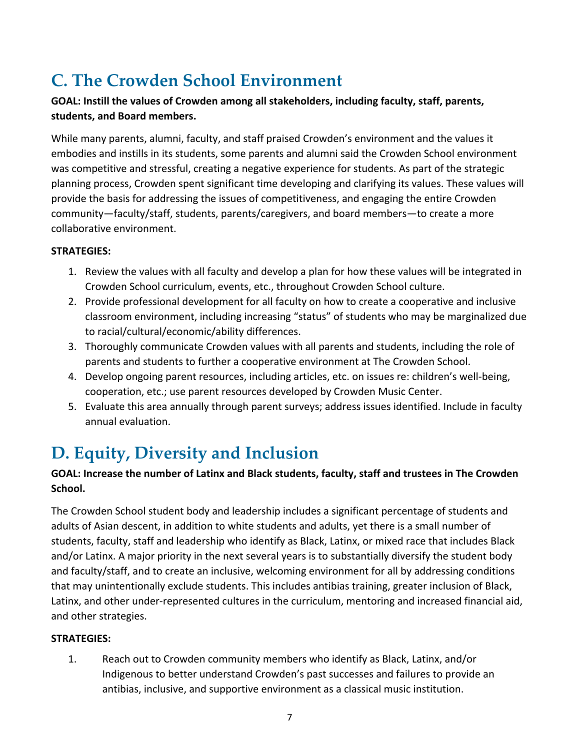### **C. The Crowden School Environment**

#### **GOAL: Instill the values of Crowden among all stakeholders, including faculty, staff, parents, students, and Board members.**

While many parents, alumni, faculty, and staff praised Crowden's environment and the values it embodies and instills in its students, some parents and alumni said the Crowden School environment was competitive and stressful, creating a negative experience for students. As part of the strategic planning process, Crowden spent significant time developing and clarifying its values. These values will provide the basis for addressing the issues of competitiveness, and engaging the entire Crowden community—faculty/staff, students, parents/caregivers, and board members—to create a more collaborative environment.

#### **STRATEGIES:**

- 1. Review the values with all faculty and develop a plan for how these values will be integrated in Crowden School curriculum, events, etc., throughout Crowden School culture.
- 2. Provide professional development for all faculty on how to create a cooperative and inclusive classroom environment, including increasing "status" of students who may be marginalized due to racial/cultural/economic/ability differences.
- 3. Thoroughly communicate Crowden values with all parents and students, including the role of parents and students to further a cooperative environment at The Crowden School.
- 4. Develop ongoing parent resources, including articles, etc. on issues re: children's well-being, cooperation, etc.; use parent resources developed by Crowden Music Center.
- 5. Evaluate this area annually through parent surveys; address issues identified. Include in faculty annual evaluation.

# **D. Equity, Diversity and Inclusion**

#### **GOAL: Increase the number of Latinx and Black students, faculty, staff and trustees in The Crowden School.**

The Crowden School student body and leadership includes a significant percentage of students and adults of Asian descent, in addition to white students and adults, yet there is a small number of students, faculty, staff and leadership who identify as Black, Latinx, or mixed race that includes Black and/or Latinx. A major priority in the next several years is to substantially diversify the student body and faculty/staff, and to create an inclusive, welcoming environment for all by addressing conditions that may unintentionally exclude students. This includes antibias training, greater inclusion of Black, Latinx, and other under-represented cultures in the curriculum, mentoring and increased financial aid, and other strategies.

#### **STRATEGIES:**

1. Reach out to Crowden community members who identify as Black, Latinx, and/or Indigenous to better understand Crowden's past successes and failures to provide an antibias, inclusive, and supportive environment as a classical music institution.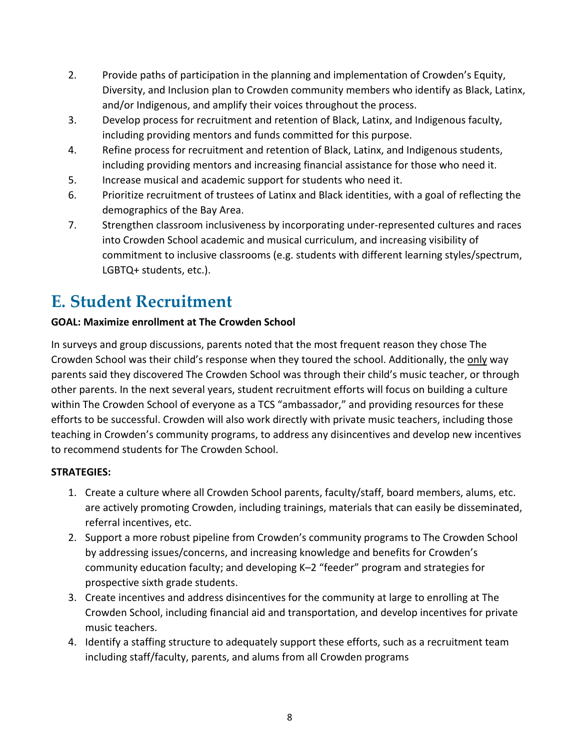- 2. Provide paths of participation in the planning and implementation of Crowden's Equity, Diversity, and Inclusion plan to Crowden community members who identify as Black, Latinx, and/or Indigenous, and amplify their voices throughout the process.
- 3. Develop process for recruitment and retention of Black, Latinx, and Indigenous faculty, including providing mentors and funds committed for this purpose.
- 4. Refine process for recruitment and retention of Black, Latinx, and Indigenous students, including providing mentors and increasing financial assistance for those who need it.
- 5. Increase musical and academic support for students who need it.
- 6. Prioritize recruitment of trustees of Latinx and Black identities, with a goal of reflecting the demographics of the Bay Area.
- 7. Strengthen classroom inclusiveness by incorporating under-represented cultures and races into Crowden School academic and musical curriculum, and increasing visibility of commitment to inclusive classrooms (e.g. students with different learning styles/spectrum, LGBTQ+ students, etc.).

### **E. Student Recruitment**

#### **GOAL: Maximize enrollment at The Crowden School**

In surveys and group discussions, parents noted that the most frequent reason they chose The Crowden School was their child's response when they toured the school. Additionally, the only way parents said they discovered The Crowden School was through their child's music teacher, or through other parents. In the next several years, student recruitment efforts will focus on building a culture within The Crowden School of everyone as a TCS "ambassador," and providing resources for these efforts to be successful. Crowden will also work directly with private music teachers, including those teaching in Crowden's community programs, to address any disincentives and develop new incentives to recommend students for The Crowden School.

- 1. Create a culture where all Crowden School parents, faculty/staff, board members, alums, etc. are actively promoting Crowden, including trainings, materials that can easily be disseminated, referral incentives, etc.
- 2. Support a more robust pipeline from Crowden's community programs to The Crowden School by addressing issues/concerns, and increasing knowledge and benefits for Crowden's community education faculty; and developing K–2 "feeder" program and strategies for prospective sixth grade students.
- 3. Create incentives and address disincentives for the community at large to enrolling at The Crowden School, including financial aid and transportation, and develop incentives for private music teachers.
- 4. Identify a staffing structure to adequately support these efforts, such as a recruitment team including staff/faculty, parents, and alums from all Crowden programs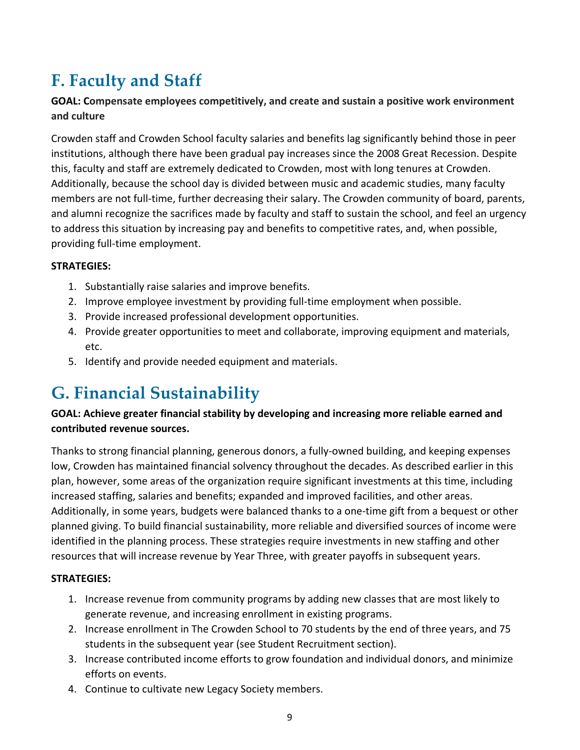### **F. Faculty and Staff**

#### **GOAL: Compensate employees competitively, and create and sustain a positive work environment and culture**

Crowden staff and Crowden School faculty salaries and benefits lag significantly behind those in peer institutions, although there have been gradual pay increases since the 2008 Great Recession. Despite this, faculty and staff are extremely dedicated to Crowden, most with long tenures at Crowden. Additionally, because the school day is divided between music and academic studies, many faculty members are not full-time, further decreasing their salary. The Crowden community of board, parents, and alumni recognize the sacrifices made by faculty and staff to sustain the school, and feel an urgency to address this situation by increasing pay and benefits to competitive rates, and, when possible, providing full-time employment.

#### **STRATEGIES:**

- 1. Substantially raise salaries and improve benefits.
- 2. Improve employee investment by providing full-time employment when possible.
- 3. Provide increased professional development opportunities.
- 4. Provide greater opportunities to meet and collaborate, improving equipment and materials, etc.
- 5. Identify and provide needed equipment and materials.

### **G. Financial Sustainability**

#### **GOAL: Achieve greater financial stability by developing and increasing more reliable earned and contributed revenue sources.**

Thanks to strong financial planning, generous donors, a fully-owned building, and keeping expenses low, Crowden has maintained financial solvency throughout the decades. As described earlier in this plan, however, some areas of the organization require significant investments at this time, including increased staffing, salaries and benefits; expanded and improved facilities, and other areas. Additionally, in some years, budgets were balanced thanks to a one-time gift from a bequest or other planned giving. To build financial sustainability, more reliable and diversified sources of income were identified in the planning process. These strategies require investments in new staffing and other resources that will increase revenue by Year Three, with greater payoffs in subsequent years.

- 1. Increase revenue from community programs by adding new classes that are most likely to generate revenue, and increasing enrollment in existing programs.
- 2. Increase enrollment in The Crowden School to 70 students by the end of three years, and 75 students in the subsequent year (see Student Recruitment section).
- 3. Increase contributed income efforts to grow foundation and individual donors, and minimize efforts on events.
- 4. Continue to cultivate new Legacy Society members.